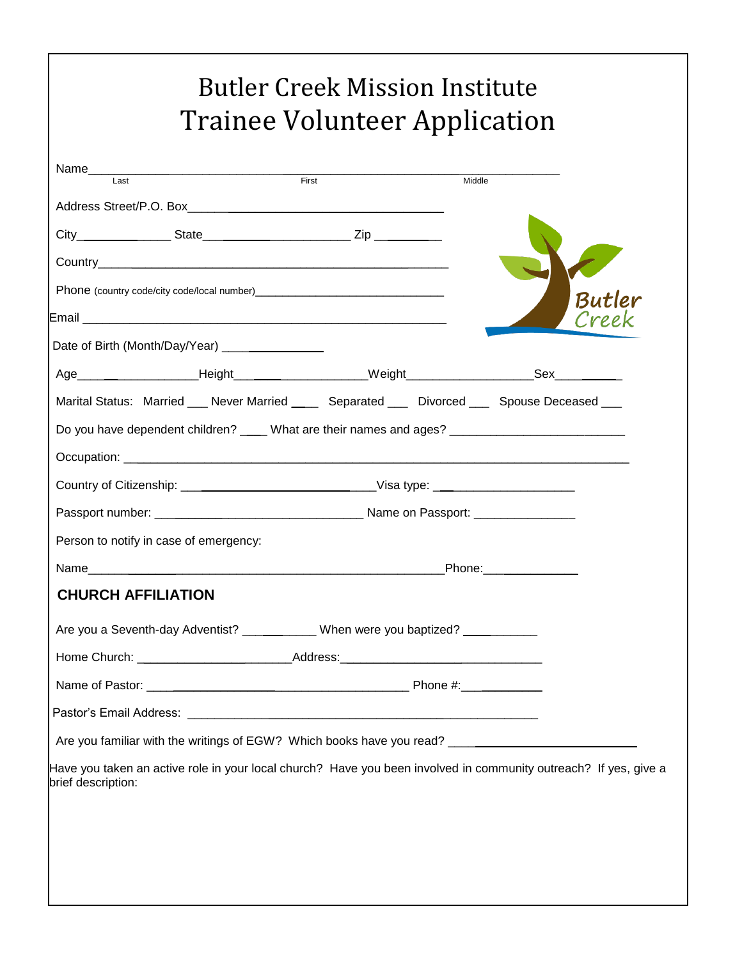|                                                                                                      | First       | Middle |                                                                                                                  |
|------------------------------------------------------------------------------------------------------|-------------|--------|------------------------------------------------------------------------------------------------------------------|
|                                                                                                      |             |        |                                                                                                                  |
|                                                                                                      |             |        |                                                                                                                  |
|                                                                                                      |             |        |                                                                                                                  |
|                                                                                                      |             |        | Butler                                                                                                           |
|                                                                                                      |             |        |                                                                                                                  |
| Date of Birth (Month/Day/Year) ________________                                                      |             |        |                                                                                                                  |
| Age________________________Height______________________Weight____________________Sex______________   |             |        |                                                                                                                  |
| Marital Status: Married ___ Never Married ____ Separated ___ Divorced ___ Spouse Deceased ___        |             |        |                                                                                                                  |
| Do you have dependent children? ____ What are their names and ages? _______________________________  |             |        |                                                                                                                  |
|                                                                                                      |             |        |                                                                                                                  |
| Country of Citizenship: ________________________________Visa type: ________________________________  |             |        |                                                                                                                  |
|                                                                                                      |             |        |                                                                                                                  |
| Person to notify in case of emergency:                                                               |             |        |                                                                                                                  |
|                                                                                                      | Phone: 2000 |        |                                                                                                                  |
| <b>CHURCH AFFILIATION</b>                                                                            |             |        |                                                                                                                  |
| Are you a Seventh-day Adventist? ____________ When were you baptized? __________                     |             |        |                                                                                                                  |
| Home Church: _______________________________Address: ___________________________                     |             |        |                                                                                                                  |
|                                                                                                      |             |        |                                                                                                                  |
|                                                                                                      |             |        |                                                                                                                  |
| Are you familiar with the writings of EGW? Which books have you read? ______________________________ |             |        |                                                                                                                  |
|                                                                                                      |             |        | Have you taken an active role in your local church? Have you been involved in community outreach? If yes, give a |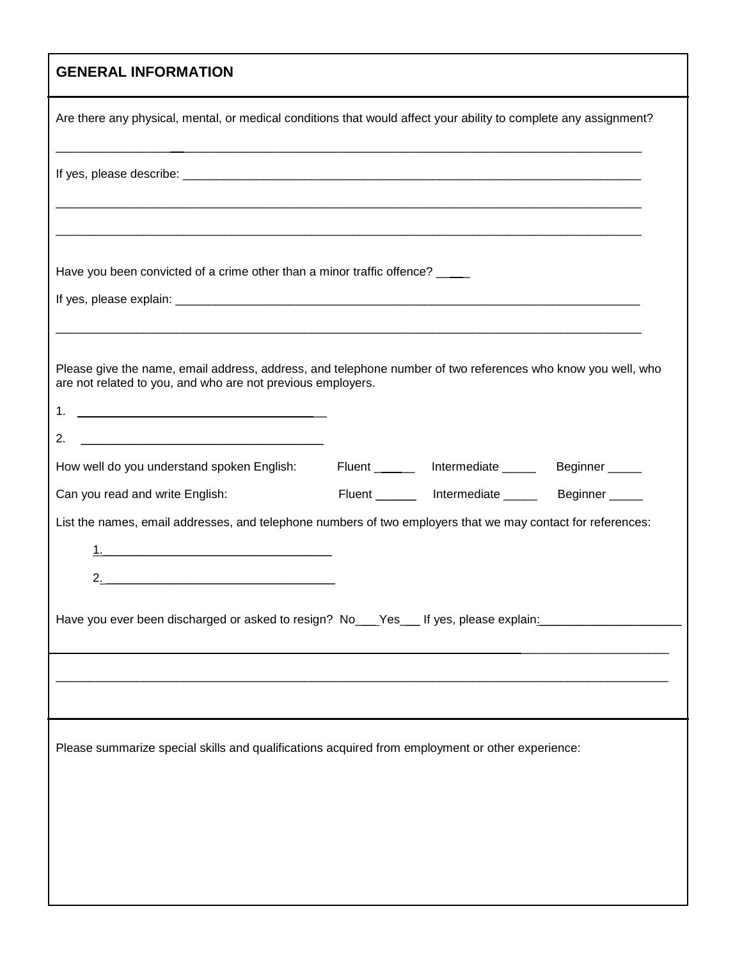## **GENERAL INFORMATION**

| Are there any physical, mental, or medical conditions that would affect your ability to complete any assignment?                                                                 |  |  |  |  |  |
|----------------------------------------------------------------------------------------------------------------------------------------------------------------------------------|--|--|--|--|--|
|                                                                                                                                                                                  |  |  |  |  |  |
| Have you been convicted of a crime other than a minor traffic offence? ____                                                                                                      |  |  |  |  |  |
|                                                                                                                                                                                  |  |  |  |  |  |
| Please give the name, email address, address, and telephone number of two references who know you well, who<br>are not related to you, and who are not previous employers.<br>2. |  |  |  |  |  |
| Fluent ________ Intermediate _______ Beginner _____<br>How well do you understand spoken English:                                                                                |  |  |  |  |  |
| Fluent _______ Intermediate ______ Beginner _____<br>Can you read and write English:                                                                                             |  |  |  |  |  |
| List the names, email addresses, and telephone numbers of two employers that we may contact for references:                                                                      |  |  |  |  |  |
|                                                                                                                                                                                  |  |  |  |  |  |
|                                                                                                                                                                                  |  |  |  |  |  |
| Have you ever been discharged or asked to resign? No___Yes___ If yes, please explain:___________                                                                                 |  |  |  |  |  |
|                                                                                                                                                                                  |  |  |  |  |  |
|                                                                                                                                                                                  |  |  |  |  |  |
| Please summarize special skills and qualifications acquired from employment or other experience:                                                                                 |  |  |  |  |  |
|                                                                                                                                                                                  |  |  |  |  |  |
|                                                                                                                                                                                  |  |  |  |  |  |
|                                                                                                                                                                                  |  |  |  |  |  |
|                                                                                                                                                                                  |  |  |  |  |  |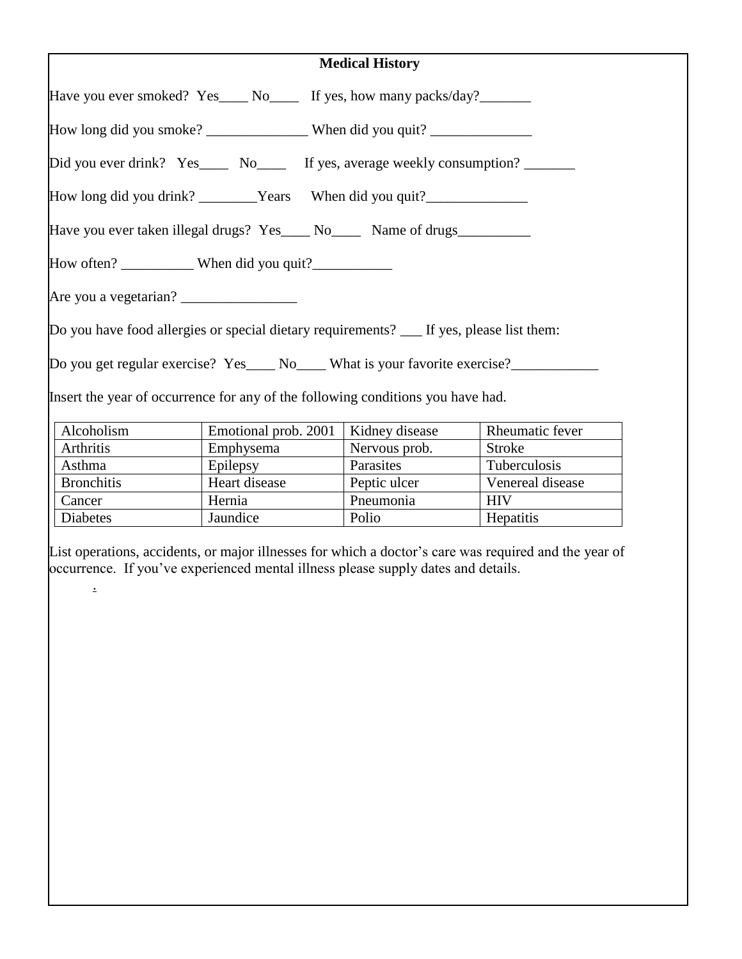| <b>Medical History</b>                                                            |                                                                                          |                |                  |  |  |
|-----------------------------------------------------------------------------------|------------------------------------------------------------------------------------------|----------------|------------------|--|--|
|                                                                                   | Have you ever smoked? Yes____ No_____ If yes, how many packs/day?________                |                |                  |  |  |
| How long did you smoke? _______________________When did you quit? _______________ |                                                                                          |                |                  |  |  |
|                                                                                   | Did you ever drink? Yes____ No____ If yes, average weekly consumption? _______           |                |                  |  |  |
|                                                                                   | How long did you drink? ________Years When did you quit? ________________________        |                |                  |  |  |
| Have you ever taken illegal drugs? Yes____ No____ Name of drugs__________         |                                                                                          |                |                  |  |  |
|                                                                                   |                                                                                          |                |                  |  |  |
|                                                                                   |                                                                                          |                |                  |  |  |
|                                                                                   | Do you have food allergies or special dietary requirements? __ If yes, please list them: |                |                  |  |  |
|                                                                                   | Do you get regular exercise? Yes _____ No _____ What is your favorite exercise?          |                |                  |  |  |
|                                                                                   | Insert the year of occurrence for any of the following conditions you have had.          |                |                  |  |  |
| Alcoholism                                                                        | Emotional prob. 2001                                                                     | Kidney disease | Rheumatic fever  |  |  |
|                                                                                   |                                                                                          |                |                  |  |  |
| Arthritis                                                                         | Emphysema                                                                                | Nervous prob.  | <b>Stroke</b>    |  |  |
| Asthma                                                                            | Epilepsy                                                                                 | Parasites      | Tuberculosis     |  |  |
| <b>Bronchitis</b>                                                                 | Heart disease                                                                            | Peptic ulcer   | Venereal disease |  |  |

List operations, accidents, or major illnesses for which a doctor's care was required and the year of occurrence. If you've experienced mental illness please supply dates and details.

Polio Hepatitis

Cancer Hernia Pneumonia HIV<br>Diabetes Jaundice Polio Hepa

.